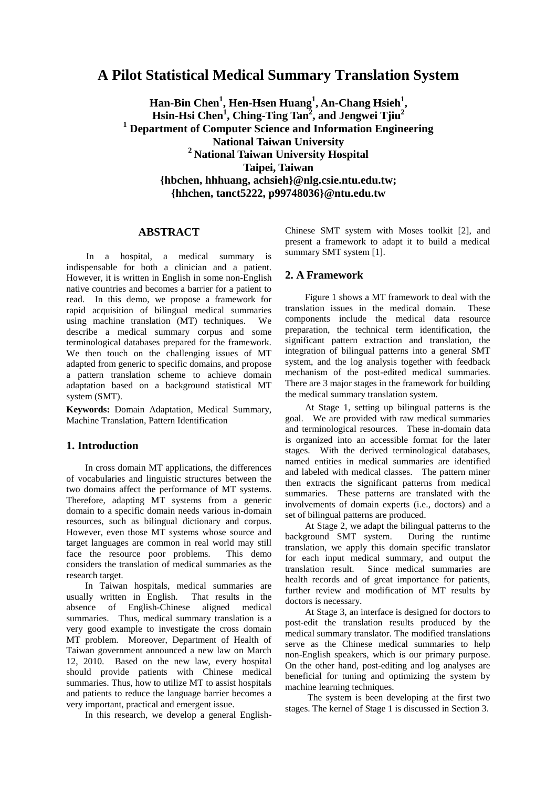# **A Pilot Statistical Medical Summary Translation System**

**Han-Bin Chen<sup>1</sup> , Hen-Hsen Huang<sup>1</sup> , An-Chang Hsieh<sup>1</sup> , Hsin-Hsi Chen<sup>1</sup> , Ching-Ting Tan<sup>2</sup> , and Jengwei Tjiu<sup>2</sup> <sup>1</sup> Department of Computer Science and Information Engineering National Taiwan University <sup>2</sup>National Taiwan University Hospital Taipei, Taiwan {hbchen, hhhuang, achsieh}@nlg.csie.ntu.edu.tw; {hhchen, tanct5222, p99748036}@ntu.edu.tw**

# **ABSTRACT**

In a hospital, a medical summary is indispensable for both a clinician and a patient. However, it is written in English in some non-English native countries and becomes a barrier for a patient to read. In this demo, we propose a framework for rapid acquisition of bilingual medical summaries using machine translation (MT) techniques. We describe a medical summary corpus and some terminological databases prepared for the framework. We then touch on the challenging issues of MT adapted from generic to specific domains, and propose a pattern translation scheme to achieve domain adaptation based on a background statistical MT system (SMT).

**Keywords:** Domain Adaptation, Medical Summary, Machine Translation, Pattern Identification

## **1. Introduction**

In cross domain MT applications, the differences of vocabularies and linguistic structures between the two domains affect the performance of MT systems. Therefore, adapting MT systems from a generic domain to a specific domain needs various in-domain resources, such as bilingual dictionary and corpus. However, even those MT systems whose source and target languages are common in real world may still face the resource poor problems. This demo considers the translation of medical summaries as the research target.

In Taiwan hospitals, medical summaries are usually written in English. That results in the absence of English-Chinese aligned medical summaries. Thus, medical summary translation is a very good example to investigate the cross domain MT problem. Moreover, Department of Health of Taiwan government announced a new law on March 12, 2010. Based on the new law, every hospital should provide patients with Chinese medical summaries. Thus, how to utilize MT to assist hospitals and patients to reduce the language barrier becomes a very important, practical and emergent issue.

In this research, we develop a general English-

Chinese SMT system with Moses toolkit [2], and present a framework to adapt it to build a medical summary SMT system [1].

#### **2. A Framework**

Figure 1 shows a MT framework to deal with the translation issues in the medical domain. These components include the medical data resource preparation, the technical term identification, the significant pattern extraction and translation, the integration of bilingual patterns into a general SMT system, and the log analysis together with feedback mechanism of the post-edited medical summaries. There are 3 major stages in the framework for building the medical summary translation system.

At Stage 1, setting up bilingual patterns is the goal. We are provided with raw medical summaries and terminological resources. These in-domain data is organized into an accessible format for the later stages. With the derived terminological databases, named entities in medical summaries are identified and labeled with medical classes. The pattern miner then extracts the significant patterns from medical summaries. These patterns are translated with the involvements of domain experts (i.e., doctors) and a set of bilingual patterns are produced.

At Stage 2, we adapt the bilingual patterns to the background SMT system. During the runtime translation, we apply this domain specific translator for each input medical summary, and output the translation result. Since medical summaries are health records and of great importance for patients, further review and modification of MT results by doctors is necessary.

At Stage 3, an interface is designed for doctors to post-edit the translation results produced by the medical summary translator. The modified translations serve as the Chinese medical summaries to help non-English speakers, which is our primary purpose. On the other hand, post-editing and log analyses are beneficial for tuning and optimizing the system by machine learning techniques.

The system is been developing at the first two stages. The kernel of Stage 1 is discussed in Section 3.